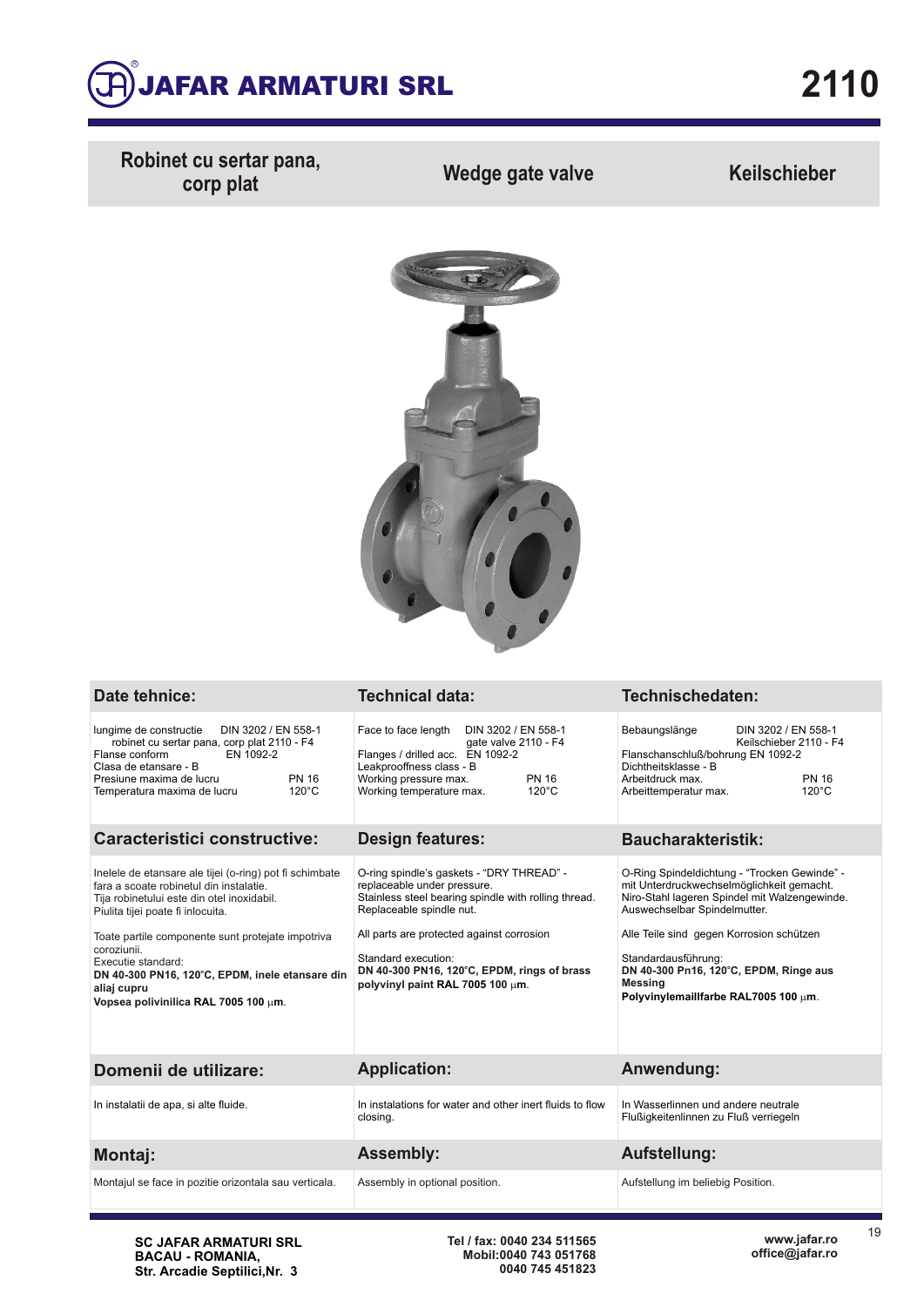

**Robinet cu sertar pana, corp plat Wedge gate valve Keilschieber**



| Date tehnice:                                                                                                                                                                                                                                                                                                                                                                             | <b>Technical data:</b>                                                                                                                                                                                                                                                                                              | Technischedaten:                                                                                                                                                                                                                                                                                                                           |  |  |  |
|-------------------------------------------------------------------------------------------------------------------------------------------------------------------------------------------------------------------------------------------------------------------------------------------------------------------------------------------------------------------------------------------|---------------------------------------------------------------------------------------------------------------------------------------------------------------------------------------------------------------------------------------------------------------------------------------------------------------------|--------------------------------------------------------------------------------------------------------------------------------------------------------------------------------------------------------------------------------------------------------------------------------------------------------------------------------------------|--|--|--|
| DIN 3202 / EN 558-1<br>lungime de constructie<br>robinet cu sertar pana, corp plat 2110 - F4<br>Flanse conform<br>EN 1092-2<br>Clasa de etansare - B<br>Presiune maxima de lucru<br><b>PN 16</b><br>$120^{\circ}$ C<br>Temperatura maxima de lucru                                                                                                                                        | Face to face length<br>DIN 3202 / EN 558-1<br>gate valve 2110 - F4<br>Flanges / drilled acc. EN 1092-2<br>Leakprooffness class - B<br>Working pressure max.<br><b>PN 16</b><br>$120^{\circ}$ C<br>Working temperature max.                                                                                          | Bebaungslänge<br>DIN 3202 / EN 558-1<br>Keilschieber 2110 - F4<br>Flanschanschluß/bohrung EN 1092-2<br>Dichtheitsklasse - B<br>Arbeitdruck max.<br><b>PN 16</b><br>$120^{\circ}$ C<br>Arbeittemperatur max.                                                                                                                                |  |  |  |
| <b>Caracteristici constructive:</b>                                                                                                                                                                                                                                                                                                                                                       | <b>Design features:</b>                                                                                                                                                                                                                                                                                             | <b>Baucharakteristik:</b>                                                                                                                                                                                                                                                                                                                  |  |  |  |
| Inelele de etansare ale tijei (o-ring) pot fi schimbate<br>fara a scoate robinetul din instalatie.<br>Tija robinetului este din otel inoxidabil.<br>Piulita tijei poate fi inlocuita.<br>Toate partile componente sunt protejate impotriva<br>coroziunii.<br>Executie standard:<br>DN 40-300 PN16, 120°C, EPDM, inele etansare din<br>aliaj cupru<br>Vopsea polivinilica RAL 7005 100 µm. | O-ring spindle's gaskets - "DRY THREAD" -<br>replaceable under pressure.<br>Stainless steel bearing spindle with rolling thread.<br>Replaceable spindle nut.<br>All parts are protected against corrosion<br>Standard execution:<br>DN 40-300 PN16, 120°C, EPDM, rings of brass<br>polyvinyl paint RAL 7005 100 um. | O-Ring Spindeldichtung - "Trocken Gewinde" -<br>mit Unterdruckwechselmöglichkeit gemacht.<br>Niro-Stahl lageren Spindel mit Walzengewinde.<br>Auswechselbar Spindelmutter.<br>Alle Teile sind gegen Korrosion schützen<br>Standardausführung:<br>DN 40-300 Pn16, 120°C, EPDM, Ringe aus<br>Messing<br>Polyvinylemaillfarbe RAL7005 100 um. |  |  |  |
| Domenii de utilizare:                                                                                                                                                                                                                                                                                                                                                                     | <b>Application:</b>                                                                                                                                                                                                                                                                                                 | Anwendung:                                                                                                                                                                                                                                                                                                                                 |  |  |  |
| In instalatii de apa, si alte fluide.                                                                                                                                                                                                                                                                                                                                                     | In instalations for water and other inert fluids to flow<br>closing.                                                                                                                                                                                                                                                | In Wasserlinnen und andere neutrale<br>Flußigkeitenlinnen zu Fluß verriegeln                                                                                                                                                                                                                                                               |  |  |  |
| <b>Montaj:</b>                                                                                                                                                                                                                                                                                                                                                                            | <b>Assembly:</b>                                                                                                                                                                                                                                                                                                    | <b>Aufstellung:</b>                                                                                                                                                                                                                                                                                                                        |  |  |  |
| Montajul se face in pozitie orizontala sau verticala.                                                                                                                                                                                                                                                                                                                                     | Assembly in optional position.                                                                                                                                                                                                                                                                                      | Aufstellung im beliebig Position.                                                                                                                                                                                                                                                                                                          |  |  |  |

**SC JAFAR ARMATURI SRL BACAU - ROMANIA, Str. Arcadie Septilici,Nr. 3**

**Tel / fax: 0040 234 511565 Mobil:0040 743 051768 0040 745 451823** 19